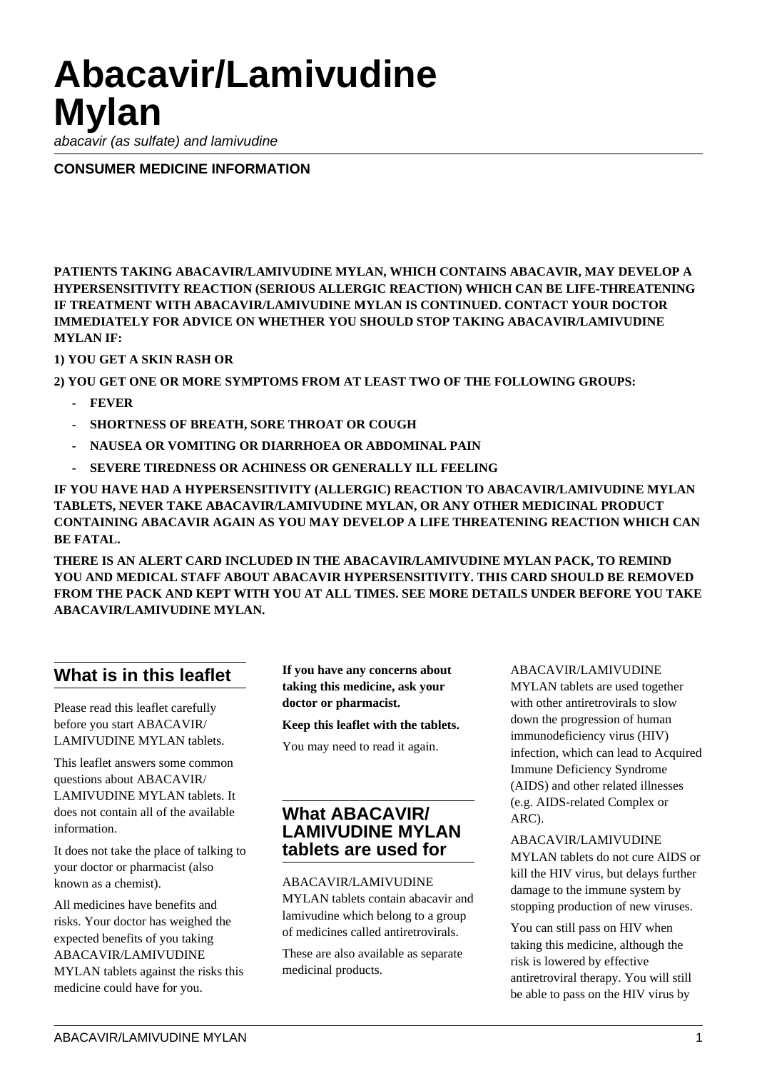# **Abacavir/Lamivudine Mylan**

abacavir (as sulfate) and lamivudine

**CONSUMER MEDICINE INFORMATION**

**PATIENTS TAKING ABACAVIR/LAMIVUDINE MYLAN, WHICH CONTAINS ABACAVIR, MAY DEVELOP A HYPERSENSITIVITY REACTION (SERIOUS ALLERGIC REACTION) WHICH CAN BE LIFE-THREATENING IF TREATMENT WITH ABACAVIR/LAMIVUDINE MYLAN IS CONTINUED. CONTACT YOUR DOCTOR IMMEDIATELY FOR ADVICE ON WHETHER YOU SHOULD STOP TAKING ABACAVIR/LAMIVUDINE MYLAN IF:**

## **1) YOU GET A SKIN RASH OR**

**2) YOU GET ONE OR MORE SYMPTOMS FROM AT LEAST TWO OF THE FOLLOWING GROUPS:**

- **FEVER**
- **SHORTNESS OF BREATH, SORE THROAT OR COUGH**
- **NAUSEA OR VOMITING OR DIARRHOEA OR ABDOMINAL PAIN**
- **SEVERE TIREDNESS OR ACHINESS OR GENERALLY ILL FEELING**

**IF YOU HAVE HAD A HYPERSENSITIVITY (ALLERGIC) REACTION TO ABACAVIR/LAMIVUDINE MYLAN TABLETS, NEVER TAKE ABACAVIR/LAMIVUDINE MYLAN, OR ANY OTHER MEDICINAL PRODUCT CONTAINING ABACAVIR AGAIN AS YOU MAY DEVELOP A LIFE THREATENING REACTION WHICH CAN BE FATAL.**

**THERE IS AN ALERT CARD INCLUDED IN THE ABACAVIR/LAMIVUDINE MYLAN PACK, TO REMIND YOU AND MEDICAL STAFF ABOUT ABACAVIR HYPERSENSITIVITY. THIS CARD SHOULD BE REMOVED FROM THE PACK AND KEPT WITH YOU AT ALL TIMES. SEE MORE DETAILS UNDER BEFORE YOU TAKE ABACAVIR/LAMIVUDINE MYLAN.**

## **What is in this leaflet**

Please read this leaflet carefully before you start ABACAVIR/ LAMIVUDINE MYLAN tablets.

This leaflet answers some common questions about ABACAVIR/ LAMIVUDINE MYLAN tablets. It does not contain all of the available information.

It does not take the place of talking to your doctor or pharmacist (also known as a chemist).

All medicines have benefits and risks. Your doctor has weighed the expected benefits of you taking ABACAVIR/LAMIVUDINE MYLAN tablets against the risks this medicine could have for you.

**If you have any concerns about taking this medicine, ask your doctor or pharmacist.**

**Keep this leaflet with the tablets.**

You may need to read it again.

## **What ABACAVIR/ LAMIVUDINE MYLAN tablets are used for**

ABACAVIR/LAMIVUDINE MYLAN tablets contain abacavir and lamivudine which belong to a group of medicines called antiretrovirals.

These are also available as separate medicinal products.

#### ABACAVIR/LAMIVUDINE

MYLAN tablets are used together with other antiretrovirals to slow down the progression of human immunodeficiency virus (HIV) infection, which can lead to Acquired Immune Deficiency Syndrome (AIDS) and other related illnesses (e.g. AIDS-related Complex or ARC).

#### ABACAVIR/LAMIVUDINE

MYLAN tablets do not cure AIDS or kill the HIV virus, but delays further damage to the immune system by stopping production of new viruses.

You can still pass on HIV when taking this medicine, although the risk is lowered by effective antiretroviral therapy. You will still be able to pass on the HIV virus by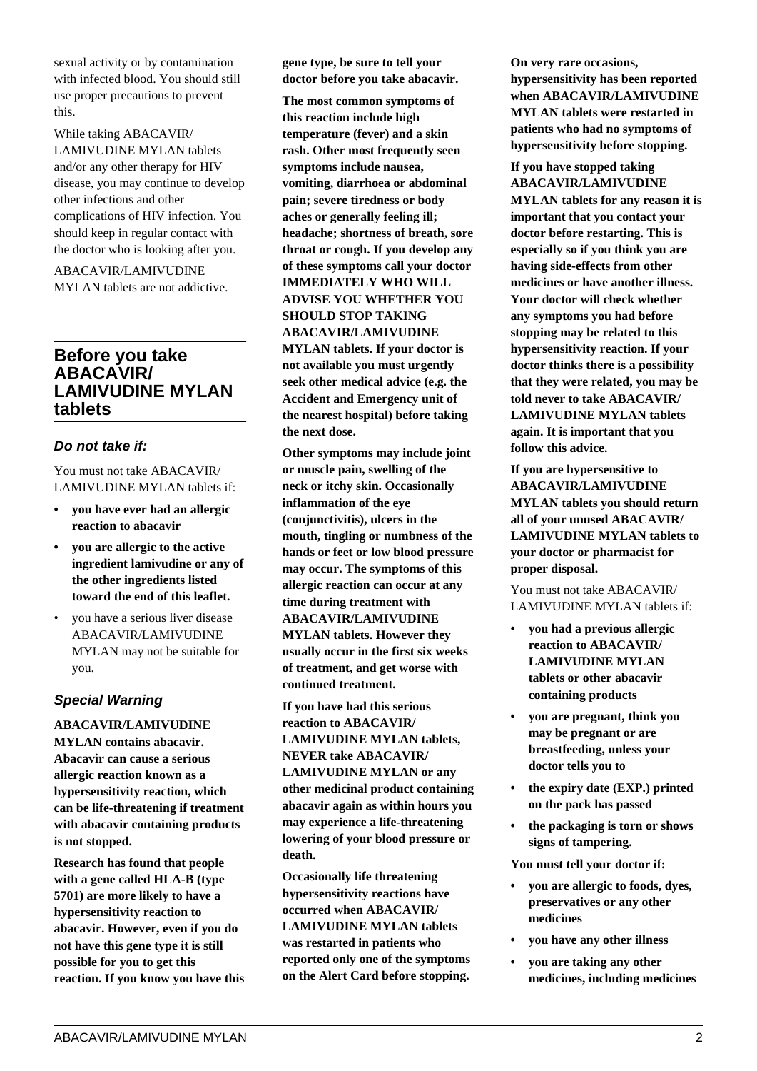sexual activity or by contamination with infected blood. You should still use proper precautions to prevent this.

While taking ABACAVIR/ LAMIVUDINE MYLAN tablets and/or any other therapy for HIV disease, you may continue to develop other infections and other complications of HIV infection. You should keep in regular contact with the doctor who is looking after you.

ABACAVIR/LAMIVUDINE MYLAN tablets are not addictive.

## **Before you take ABACAVIR/ LAMIVUDINE MYLAN tablets**

#### **Do not take if:**

You must not take ABACAVIR/ LAMIVUDINE MYLAN tablets if:

- **you have ever had an allergic reaction to abacavir**
- **you are allergic to the active ingredient lamivudine or any of the other ingredients listed toward the end of this leaflet.**
- you have a serious liver disease ABACAVIR/LAMIVUDINE MYLAN may not be suitable for you.

#### **Special Warning**

**ABACAVIR/LAMIVUDINE MYLAN contains abacavir. Abacavir can cause a serious allergic reaction known as a hypersensitivity reaction, which can be life-threatening if treatment with abacavir containing products is not stopped.**

**Research has found that people with a gene called HLA-B (type 5701) are more likely to have a hypersensitivity reaction to abacavir. However, even if you do not have this gene type it is still possible for you to get this reaction. If you know you have this** **gene type, be sure to tell your doctor before you take abacavir.**

**The most common symptoms of this reaction include high temperature (fever) and a skin rash. Other most frequently seen symptoms include nausea, vomiting, diarrhoea or abdominal pain; severe tiredness or body aches or generally feeling ill; headache; shortness of breath, sore throat or cough. If you develop any of these symptoms call your doctor IMMEDIATELY WHO WILL ADVISE YOU WHETHER YOU SHOULD STOP TAKING ABACAVIR/LAMIVUDINE MYLAN tablets. If your doctor is not available you must urgently seek other medical advice (e.g. the Accident and Emergency unit of the nearest hospital) before taking the next dose.**

**Other symptoms may include joint or muscle pain, swelling of the neck or itchy skin. Occasionally inflammation of the eye (conjunctivitis), ulcers in the mouth, tingling or numbness of the hands or feet or low blood pressure may occur. The symptoms of this allergic reaction can occur at any time during treatment with ABACAVIR/LAMIVUDINE MYLAN tablets. However they usually occur in the first six weeks of treatment, and get worse with continued treatment.**

**If you have had this serious reaction to ABACAVIR/ LAMIVUDINE MYLAN tablets, NEVER take ABACAVIR/ LAMIVUDINE MYLAN or any other medicinal product containing abacavir again as within hours you may experience a life-threatening lowering of your blood pressure or death.**

**Occasionally life threatening hypersensitivity reactions have occurred when ABACAVIR/ LAMIVUDINE MYLAN tablets was restarted in patients who reported only one of the symptoms on the Alert Card before stopping.**

**On very rare occasions, hypersensitivity has been reported when ABACAVIR/LAMIVUDINE MYLAN tablets were restarted in patients who had no symptoms of hypersensitivity before stopping.**

**If you have stopped taking ABACAVIR/LAMIVUDINE MYLAN tablets for any reason it is important that you contact your doctor before restarting. This is especially so if you think you are having side-effects from other medicines or have another illness. Your doctor will check whether any symptoms you had before stopping may be related to this hypersensitivity reaction. If your doctor thinks there is a possibility that they were related, you may be told never to take ABACAVIR/ LAMIVUDINE MYLAN tablets again. It is important that you follow this advice.**

**If you are hypersensitive to ABACAVIR/LAMIVUDINE MYLAN tablets you should return all of your unused ABACAVIR/ LAMIVUDINE MYLAN tablets to your doctor or pharmacist for proper disposal.**

You must not take ABACAVIR/ LAMIVUDINE MYLAN tablets if:

- **you had a previous allergic reaction to ABACAVIR/ LAMIVUDINE MYLAN tablets or other abacavir containing products**
- **you are pregnant, think you may be pregnant or are breastfeeding, unless your doctor tells you to**
- **the expiry date (EXP.) printed on the pack has passed**
- **the packaging is torn or shows signs of tampering.**

**You must tell your doctor if:**

- **you are allergic to foods, dyes, preservatives or any other medicines**
- **you have any other illness**
- **you are taking any other medicines, including medicines**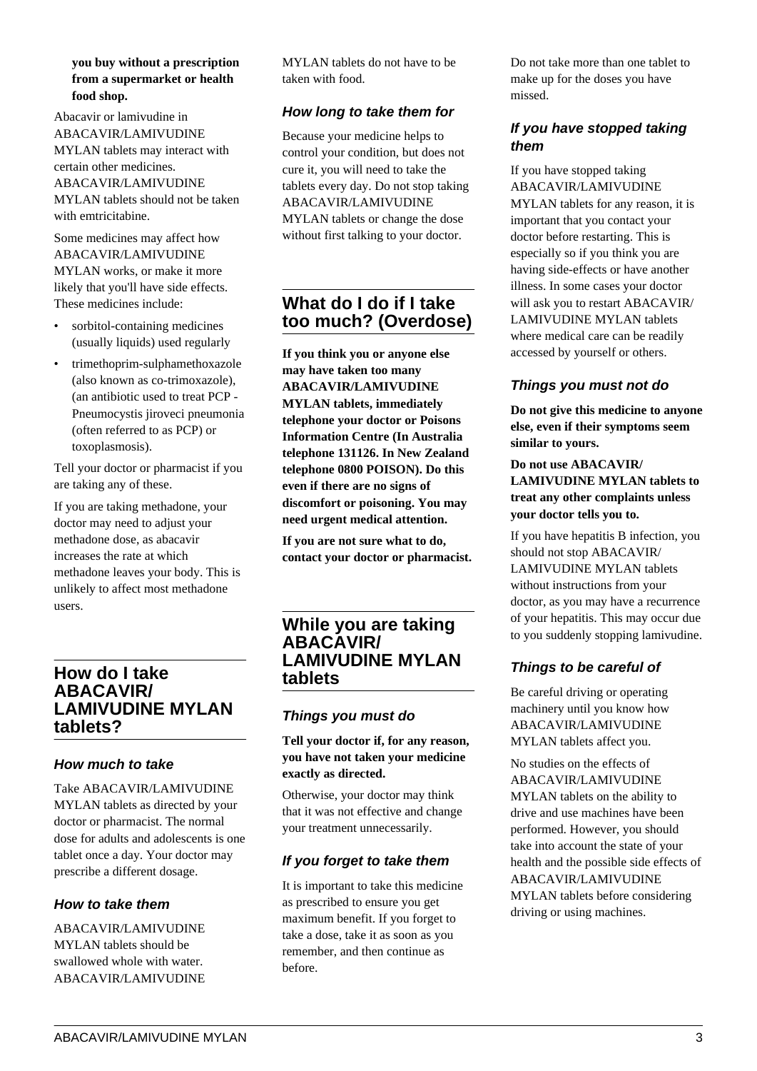#### **you buy without a prescription from a supermarket or health food shop.**

Abacavir or lamivudine in ABACAVIR/LAMIVUDINE MYLAN tablets may interact with certain other medicines. ABACAVIR/LAMIVUDINE MYLAN tablets should not be taken with emtricitabine.

Some medicines may affect how ABACAVIR/LAMIVUDINE MYLAN works, or make it more likely that you'll have side effects. These medicines include:

- sorbitol-containing medicines (usually liquids) used regularly
- trimethoprim-sulphamethoxazole (also known as co-trimoxazole), (an antibiotic used to treat PCP - Pneumocystis jiroveci pneumonia (often referred to as PCP) or toxoplasmosis).

Tell your doctor or pharmacist if you are taking any of these.

If you are taking methadone, your doctor may need to adjust your methadone dose, as abacavir increases the rate at which methadone leaves your body. This is unlikely to affect most methadone users.

## **How do I take ABACAVIR/ LAMIVUDINE MYLAN tablets?**

## **How much to take**

Take ABACAVIR/LAMIVUDINE MYLAN tablets as directed by your doctor or pharmacist. The normal dose for adults and adolescents is one tablet once a day. Your doctor may prescribe a different dosage.

## **How to take them**

ABACAVIR/LAMIVUDINE MYLAN tablets should be swallowed whole with water. ABACAVIR/LAMIVUDINE MYLAN tablets do not have to be taken with food.

## **How long to take them for**

Because your medicine helps to control your condition, but does not cure it, you will need to take the tablets every day. Do not stop taking ABACAVIR/LAMIVUDINE MYLAN tablets or change the dose without first talking to your doctor.

## **What do I do if I take too much? (Overdose)**

**If you think you or anyone else may have taken too many ABACAVIR/LAMIVUDINE MYLAN tablets, immediately telephone your doctor or Poisons Information Centre (In Australia telephone 131126. In New Zealand telephone 0800 POISON). Do this even if there are no signs of discomfort or poisoning. You may need urgent medical attention.**

**If you are not sure what to do, contact your doctor or pharmacist.**

## **While you are taking ABACAVIR/ LAMIVUDINE MYLAN tablets**

## **Things you must do**

#### **Tell your doctor if, for any reason, you have not taken your medicine exactly as directed.**

Otherwise, your doctor may think that it was not effective and change your treatment unnecessarily.

## **If you forget to take them**

It is important to take this medicine as prescribed to ensure you get maximum benefit. If you forget to take a dose, take it as soon as you remember, and then continue as before.

Do not take more than one tablet to make up for the doses you have missed.

## **If you have stopped taking them**

If you have stopped taking ABACAVIR/LAMIVUDINE MYLAN tablets for any reason, it is important that you contact your doctor before restarting. This is especially so if you think you are having side-effects or have another illness. In some cases your doctor will ask you to restart ABACAVIR/ LAMIVUDINE MYLAN tablets where medical care can be readily accessed by yourself or others.

## **Things you must not do**

**Do not give this medicine to anyone else, even if their symptoms seem similar to yours.**

**Do not use ABACAVIR/ LAMIVUDINE MYLAN tablets to treat any other complaints unless your doctor tells you to.**

If you have hepatitis B infection, you should not stop ABACAVIR/ LAMIVUDINE MYLAN tablets without instructions from your doctor, as you may have a recurrence of your hepatitis. This may occur due to you suddenly stopping lamivudine.

## **Things to be careful of**

Be careful driving or operating machinery until you know how ABACAVIR/LAMIVUDINE MYLAN tablets affect you.

No studies on the effects of ABACAVIR/LAMIVUDINE MYLAN tablets on the ability to drive and use machines have been performed. However, you should take into account the state of your health and the possible side effects of ABACAVIR/LAMIVUDINE MYLAN tablets before considering driving or using machines.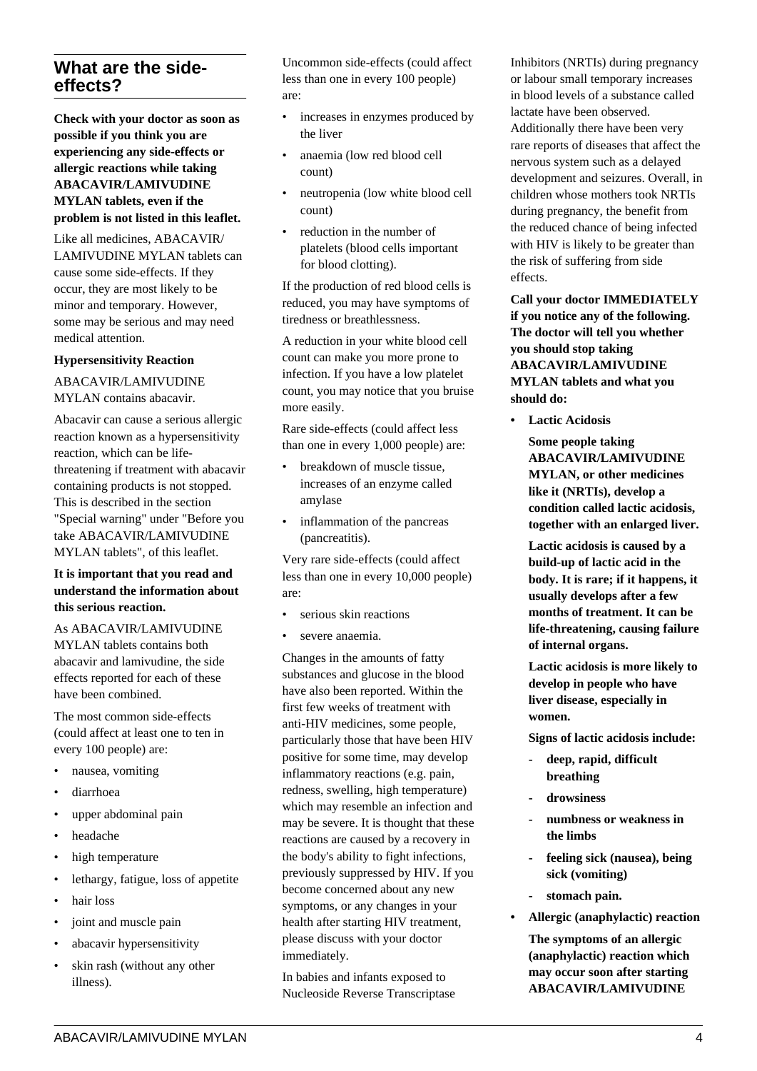## **What are the sideeffects?**

**Check with your doctor as soon as possible if you think you are experiencing any side-effects or allergic reactions while taking ABACAVIR/LAMIVUDINE MYLAN tablets, even if the problem is not listed in this leaflet.**

Like all medicines, ABACAVIR/ LAMIVUDINE MYLAN tablets can cause some side-effects. If they occur, they are most likely to be minor and temporary. However, some may be serious and may need medical attention.

#### **Hypersensitivity Reaction**

ABACAVIR/LAMIVUDINE MYLAN contains abacavir.

Abacavir can cause a serious allergic reaction known as a hypersensitivity reaction, which can be lifethreatening if treatment with abacavir containing products is not stopped. This is described in the section "Special warning" under "Before you take ABACAVIR/LAMIVUDINE MYLAN tablets", of this leaflet.

#### **It is important that you read and understand the information about this serious reaction.**

As ABACAVIR/LAMIVUDINE

MYLAN tablets contains both abacavir and lamivudine, the side effects reported for each of these have been combined.

The most common side-effects (could affect at least one to ten in every 100 people) are:

- nausea, vomiting
- diarrhoea
- upper abdominal pain
- headache
- high temperature
- lethargy, fatigue, loss of appetite
- hair loss
- joint and muscle pain
- abacavir hypersensitivity
- skin rash (without any other illness).

Uncommon side-effects (could affect less than one in every 100 people) are:

- increases in enzymes produced by the liver
- anaemia (low red blood cell count)
- neutropenia (low white blood cell count)
- reduction in the number of platelets (blood cells important for blood clotting).

If the production of red blood cells is reduced, you may have symptoms of tiredness or breathlessness.

A reduction in your white blood cell count can make you more prone to infection. If you have a low platelet count, you may notice that you bruise more easily.

Rare side-effects (could affect less than one in every 1,000 people) are:

- breakdown of muscle tissue, increases of an enzyme called amylase
- inflammation of the pancreas (pancreatitis).

Very rare side-effects (could affect less than one in every 10,000 people) are:

- serious skin reactions
- severe anaemia.

Changes in the amounts of fatty substances and glucose in the blood have also been reported. Within the first few weeks of treatment with anti-HIV medicines, some people, particularly those that have been HIV positive for some time, may develop inflammatory reactions (e.g. pain, redness, swelling, high temperature) which may resemble an infection and may be severe. It is thought that these reactions are caused by a recovery in the body's ability to fight infections, previously suppressed by HIV. If you become concerned about any new symptoms, or any changes in your health after starting HIV treatment, please discuss with your doctor immediately.

In babies and infants exposed to Nucleoside Reverse Transcriptase Inhibitors (NRTIs) during pregnancy or labour small temporary increases in blood levels of a substance called lactate have been observed. Additionally there have been very rare reports of diseases that affect the nervous system such as a delayed development and seizures. Overall, in children whose mothers took NRTIs during pregnancy, the benefit from the reduced chance of being infected with HIV is likely to be greater than the risk of suffering from side effects.

**Call your doctor IMMEDIATELY if you notice any of the following. The doctor will tell you whether you should stop taking ABACAVIR/LAMIVUDINE MYLAN tablets and what you should do:**

**• Lactic Acidosis**

 **Some people taking ABACAVIR/LAMIVUDINE MYLAN, or other medicines like it (NRTIs), develop a condition called lactic acidosis, together with an enlarged liver.**

 **Lactic acidosis is caused by a build-up of lactic acid in the body. It is rare; if it happens, it usually develops after a few months of treatment. It can be life-threatening, causing failure of internal organs.**

 **Lactic acidosis is more likely to develop in people who have liver disease, especially in women.**

 **Signs of lactic acidosis include:**

- **deep, rapid, difficult breathing**
- **drowsiness**
- **numbness or weakness in the limbs**
- **feeling sick (nausea), being sick (vomiting)**
- **stomach pain.**
- **Allergic (anaphylactic) reaction**

 **The symptoms of an allergic (anaphylactic) reaction which may occur soon after starting ABACAVIR/LAMIVUDINE**